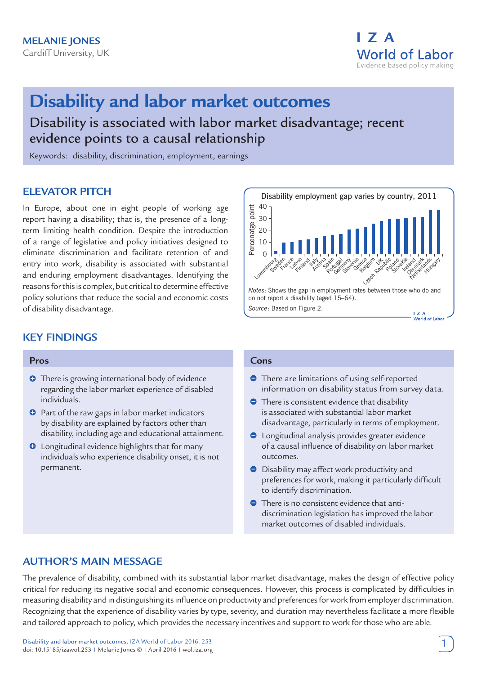

# **Disability and labor market outcomes**

Disability is associated with labor market disadvantage; recent evidence points to a causal relationship

Keywords: disability, discrimination, employment, earnings

# **ELEVATOR PITCH**

In Europe, about one in eight people of working age report having a disability; that is, the presence of a longterm limiting health condition. Despite the introduction of a range of legislative and policy initiatives designed to eliminate discrimination and facilitate retention of and entry into work, disability is associated with substantial and enduring employment disadvantages. Identifying the reasons for this is complex, but critical to determine effective policy solutions that reduce the social and economic costs of disability disadvantage.

#### Disability employment gap varies by country, 2011 40 ب Percenatge poin 30 20 10 0 Luxembourg Sweden<br>Sweden Er<sub>ance</sub> Lativa<br>Vazira cita and Italy stria o air Paint<sub>ugal</sub> Luga Ratharia cita ce Gelant Jttpic vico<br>Poland Jardakia Kila arb ark nds **Hungary** *Notes*: Shows the gap in employment rates between those who do and do not report a disability (aged 15–64). *Source*: Based on Figure 2.  $\overline{I}$  Z A World of Labor

# **KEY FINDINGS**

#### **Pros**

- **O** There is growing international body of evidence regarding the labor market experience of disabled individuals.
- $\bullet$  Part of the raw gaps in labor market indicators by disability are explained by factors other than disability, including age and educational attainment.
- **O** Longitudinal evidence highlights that for many individuals who experience disability onset, it is not permanent.

#### **Cons**

- **There are limitations of using self-reported** information on disability status from survey data.
- **C** There is consistent evidence that disability is associated with substantial labor market disadvantage, particularly in terms of employment.
- Longitudinal analysis provides greater evidence of a causal influence of disability on labor market outcomes.
- Disability may affect work productivity and preferences for work, making it particularly difficult to identify discrimination.
- **•** There is no consistent evidence that antidiscrimination legislation has improved the labor market outcomes of disabled individuals.

# **AUTHOR'S MAIN MESSAGE**

The prevalence of disability, combined with its substantial labor market disadvantage, makes the design of effective policy critical for reducing its negative social and economic consequences. However, this process is complicated by difficulties in measuring disability and in distinguishing its influence on productivity and preferences for work from employer discrimination. Recognizing that the experience of disability varies by type, severity, and duration may nevertheless facilitate a more flexible and tailored approach to policy, which provides the necessary incentives and support to work for those who are able.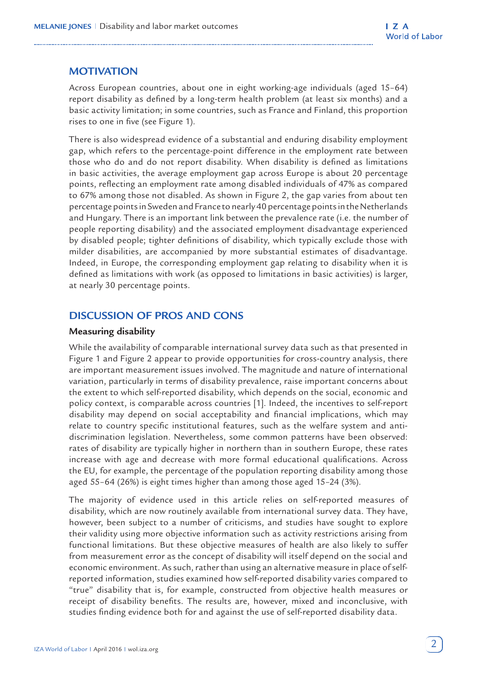# **MOTIVATION**

Across European countries, about one in eight working-age individuals (aged 15–64) report disability as defined by a long-term health problem (at least six months) and a basic activity limitation; in some countries, such as France and Finland, this proportion rises to one in five (see Figure 1).

There is also widespread evidence of a substantial and enduring disability employment gap, which refers to the percentage-point difference in the employment rate between those who do and do not report disability. When disability is defined as limitations in basic activities, the average employment gap across Europe is about 20 percentage points, reflecting an employment rate among disabled individuals of 47% as compared to 67% among those not disabled. As shown in Figure 2, the gap varies from about ten percentage points in Sweden and France to nearly 40 percentage points in the Netherlands and Hungary. There is an important link between the prevalence rate (i.e. the number of people reporting disability) and the associated employment disadvantage experienced by disabled people; tighter definitions of disability, which typically exclude those with milder disabilities, are accompanied by more substantial estimates of disadvantage. Indeed, in Europe, the corresponding employment gap relating to disability when it is defined as limitations with work (as opposed to limitations in basic activities) is larger, at nearly 30 percentage points.

## **DISCUSSION OF PROS AND CONS**

#### **Measuring disability**

While the availability of comparable international survey data such as that presented in Figure 1 and Figure 2 appear to provide opportunities for cross-country analysis, there are important measurement issues involved. The magnitude and nature of international variation, particularly in terms of disability prevalence, raise important concerns about the extent to which self-reported disability, which depends on the social, economic and policy context, is comparable across countries [1]. Indeed, the incentives to self-report disability may depend on social acceptability and financial implications, which may relate to country specific institutional features, such as the welfare system and antidiscrimination legislation. Nevertheless, some common patterns have been observed: rates of disability are typically higher in northern than in southern Europe, these rates increase with age and decrease with more formal educational qualifications. Across the EU, for example, the percentage of the population reporting disability among those aged 55–64 (26%) is eight times higher than among those aged 15–24 (3%).

The majority of evidence used in this article relies on self-reported measures of disability, which are now routinely available from international survey data. They have, however, been subject to a number of criticisms, and studies have sought to explore their validity using more objective information such as activity restrictions arising from functional limitations. But these objective measures of health are also likely to suffer from measurement error as the concept of disability will itself depend on the social and economic environment. As such, rather than using an alternative measure in place of selfreported information, studies examined how self-reported disability varies compared to "true" disability that is, for example, constructed from objective health measures or receipt of disability benefits. The results are, however, mixed and inconclusive, with studies finding evidence both for and against the use of self-reported disability data.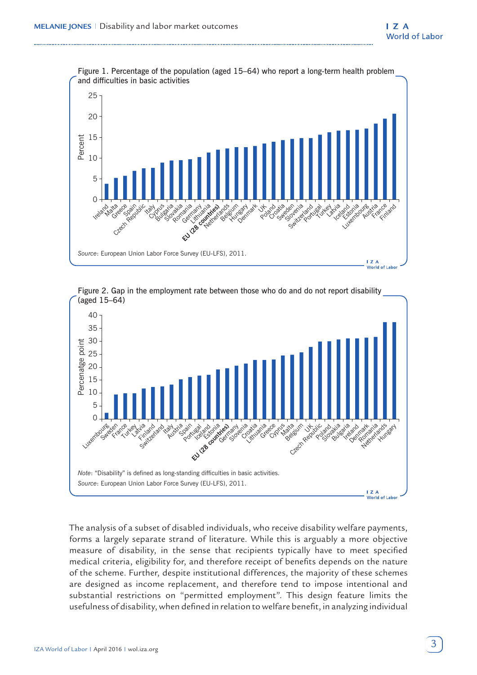

Figure 2. Gap in the employment rate between those who do and do not report disability (aged 15–64)



The analysis of a subset of disabled individuals, who receive disability welfare payments, forms a largely separate strand of literature. While this is arguably a more objective measure of disability, in the sense that recipients typically have to meet specified medical criteria, eligibility for, and therefore receipt of benefits depends on the nature of the scheme. Further, despite institutional differences, the majority of these schemes are designed as income replacement, and therefore tend to impose intentional and substantial restrictions on "permitted employment". This design feature limits the usefulness of disability, when defined in relation to welfare benefit, in analyzing individual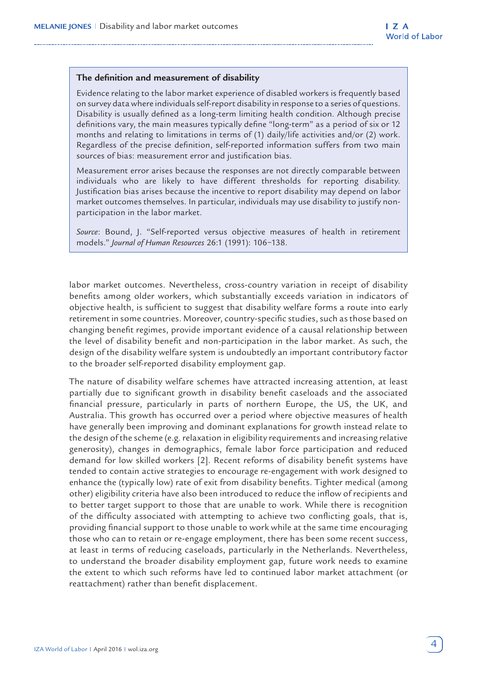#### **The definition and measurement of disability**

Evidence relating to the labor market experience of disabled workers is frequently based on survey data where individuals self-report disability in response to a series of questions. Disability is usually defined as a long-term limiting health condition. Although precise definitions vary, the main measures typically define "long-term" as a period of six or 12 months and relating to limitations in terms of (1) daily/life activities and/or (2) work. Regardless of the precise definition, self-reported information suffers from two main sources of bias: measurement error and justification bias.

Measurement error arises because the responses are not directly comparable between individuals who are likely to have different thresholds for reporting disability. Justification bias arises because the incentive to report disability may depend on labor market outcomes themselves. In particular, individuals may use disability to justify nonparticipation in the labor market.

*Source*: Bound, J. "Self-reported versus objective measures of health in retirement models." *Journal of Human Resources* 26:1 (1991): 106−138.

labor market outcomes. Nevertheless, cross-country variation in receipt of disability benefits among older workers, which substantially exceeds variation in indicators of objective health, is sufficient to suggest that disability welfare forms a route into early retirement in some countries. Moreover, country-specific studies, such as those based on changing benefit regimes, provide important evidence of a causal relationship between the level of disability benefit and non-participation in the labor market. As such, the design of the disability welfare system is undoubtedly an important contributory factor to the broader self-reported disability employment gap.

The nature of disability welfare schemes have attracted increasing attention, at least partially due to significant growth in disability benefit caseloads and the associated financial pressure, particularly in parts of northern Europe, the US, the UK, and Australia. This growth has occurred over a period where objective measures of health have generally been improving and dominant explanations for growth instead relate to the design of the scheme (e.g. relaxation in eligibility requirements and increasing relative generosity), changes in demographics, female labor force participation and reduced demand for low skilled workers [2]. Recent reforms of disability benefit systems have tended to contain active strategies to encourage re-engagement with work designed to enhance the (typically low) rate of exit from disability benefits. Tighter medical (among other) eligibility criteria have also been introduced to reduce the inflow of recipients and to better target support to those that are unable to work. While there is recognition of the difficulty associated with attempting to achieve two conflicting goals, that is, providing financial support to those unable to work while at the same time encouraging those who can to retain or re-engage employment, there has been some recent success, at least in terms of reducing caseloads, particularly in the Netherlands. Nevertheless, to understand the broader disability employment gap, future work needs to examine the extent to which such reforms have led to continued labor market attachment (or reattachment) rather than benefit displacement.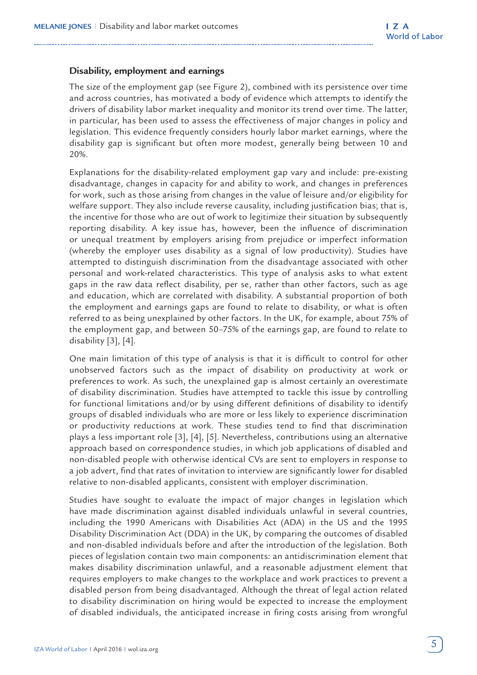#### **Disability, employment and earnings**

The size of the employment gap (see Figure 2), combined with its persistence over time and across countries, has motivated a body of evidence which attempts to identify the drivers of disability labor market inequality and monitor its trend over time. The latter, in particular, has been used to assess the effectiveness of major changes in policy and legislation. This evidence frequently considers hourly labor market earnings, where the disability gap is significant but often more modest, generally being between 10 and 20%.

Explanations for the disability-related employment gap vary and include: pre-existing disadvantage, changes in capacity for and ability to work, and changes in preferences for work, such as those arising from changes in the value of leisure and/or eligibility for welfare support. They also include reverse causality, including justification bias; that is, the incentive for those who are out of work to legitimize their situation by subsequently reporting disability. A key issue has, however, been the influence of discrimination or unequal treatment by employers arising from prejudice or imperfect information (whereby the employer uses disability as a signal of low productivity). Studies have attempted to distinguish discrimination from the disadvantage associated with other personal and work-related characteristics. This type of analysis asks to what extent gaps in the raw data reflect disability, per se, rather than other factors, such as age and education, which are correlated with disability. A substantial proportion of both the employment and earnings gaps are found to relate to disability, or what is often referred to as being unexplained by other factors. In the UK, for example, about 75% of the employment gap, and between 50–75% of the earnings gap, are found to relate to disability [3], [4].

One main limitation of this type of analysis is that it is difficult to control for other unobserved factors such as the impact of disability on productivity at work or preferences to work. As such, the unexplained gap is almost certainly an overestimate of disability discrimination. Studies have attempted to tackle this issue by controlling for functional limitations and/or by using different definitions of disability to identify groups of disabled individuals who are more or less likely to experience discrimination or productivity reductions at work. These studies tend to find that discrimination plays a less important role [3], [4], [5]. Nevertheless, contributions using an alternative approach based on correspondence studies, in which job applications of disabled and non-disabled people with otherwise identical CVs are sent to employers in response to a job advert, find that rates of invitation to interview are significantly lower for disabled relative to non-disabled applicants, consistent with employer discrimination.

Studies have sought to evaluate the impact of major changes in legislation which have made discrimination against disabled individuals unlawful in several countries, including the 1990 Americans with Disabilities Act (ADA) in the US and the 1995 Disability Discrimination Act (DDA) in the UK, by comparing the outcomes of disabled and non-disabled individuals before and after the introduction of the legislation. Both pieces of legislation contain two main components: an antidiscrimination element that makes disability discrimination unlawful, and a reasonable adjustment element that requires employers to make changes to the workplace and work practices to prevent a disabled person from being disadvantaged. Although the threat of legal action related to disability discrimination on hiring would be expected to increase the employment of disabled individuals, the anticipated increase in firing costs arising from wrongful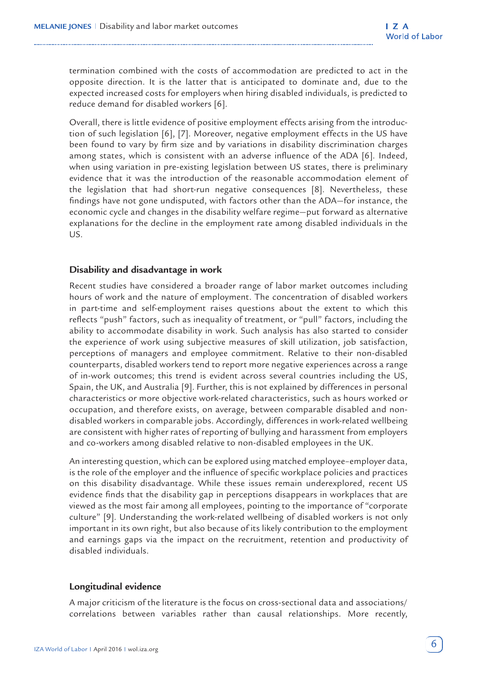termination combined with the costs of accommodation are predicted to act in the opposite direction. It is the latter that is anticipated to dominate and, due to the expected increased costs for employers when hiring disabled individuals, is predicted to reduce demand for disabled workers [6].

Overall, there is little evidence of positive employment effects arising from the introduction of such legislation [6], [7]. Moreover, negative employment effects in the US have been found to vary by firm size and by variations in disability discrimination charges among states, which is consistent with an adverse influence of the ADA [6]. Indeed, when using variation in pre-existing legislation between US states, there is preliminary evidence that it was the introduction of the reasonable accommodation element of the legislation that had short-run negative consequences [8]. Nevertheless, these findings have not gone undisputed, with factors other than the ADA—for instance, the economic cycle and changes in the disability welfare regime—put forward as alternative explanations for the decline in the employment rate among disabled individuals in the US.

### **Disability and disadvantage in work**

Recent studies have considered a broader range of labor market outcomes including hours of work and the nature of employment. The concentration of disabled workers in part-time and self-employment raises questions about the extent to which this reflects "push" factors, such as inequality of treatment, or "pull" factors, including the ability to accommodate disability in work. Such analysis has also started to consider the experience of work using subjective measures of skill utilization, job satisfaction, perceptions of managers and employee commitment. Relative to their non-disabled counterparts, disabled workers tend to report more negative experiences across a range of in-work outcomes; this trend is evident across several countries including the US, Spain, the UK, and Australia [9]. Further, this is not explained by differences in personal characteristics or more objective work-related characteristics, such as hours worked or occupation, and therefore exists, on average, between comparable disabled and nondisabled workers in comparable jobs. Accordingly, differences in work-related wellbeing are consistent with higher rates of reporting of bullying and harassment from employers and co-workers among disabled relative to non-disabled employees in the UK.

An interesting question, which can be explored using matched employee–employer data, is the role of the employer and the influence of specific workplace policies and practices on this disability disadvantage. While these issues remain underexplored, recent US evidence finds that the disability gap in perceptions disappears in workplaces that are viewed as the most fair among all employees, pointing to the importance of "corporate culture" [9]. Understanding the work-related wellbeing of disabled workers is not only important in its own right, but also because of its likely contribution to the employment and earnings gaps via the impact on the recruitment, retention and productivity of disabled individuals.

# **Longitudinal evidence**

A major criticism of the literature is the focus on cross-sectional data and associations/ correlations between variables rather than causal relationships. More recently,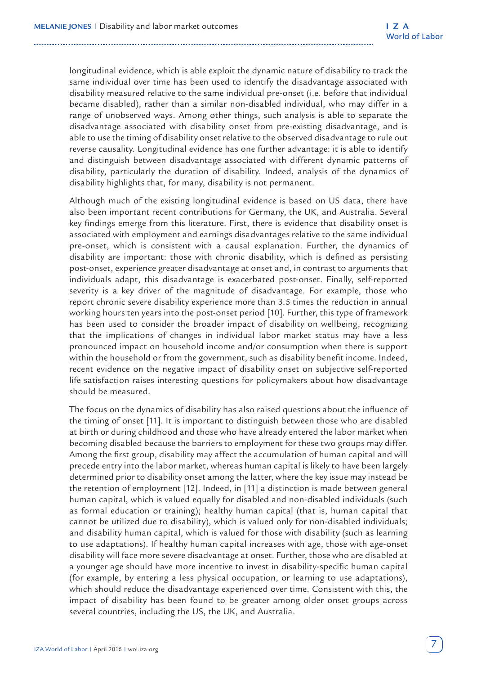longitudinal evidence, which is able exploit the dynamic nature of disability to track the same individual over time has been used to identify the disadvantage associated with disability measured relative to the same individual pre-onset (i.e. before that individual became disabled), rather than a similar non-disabled individual, who may differ in a range of unobserved ways. Among other things, such analysis is able to separate the disadvantage associated with disability onset from pre-existing disadvantage, and is able to use the timing of disability onset relative to the observed disadvantage to rule out reverse causality. Longitudinal evidence has one further advantage: it is able to identify and distinguish between disadvantage associated with different dynamic patterns of disability, particularly the duration of disability. Indeed, analysis of the dynamics of disability highlights that, for many, disability is not permanent.

Although much of the existing longitudinal evidence is based on US data, there have also been important recent contributions for Germany, the UK, and Australia. Several key findings emerge from this literature. First, there is evidence that disability onset is associated with employment and earnings disadvantages relative to the same individual pre-onset, which is consistent with a causal explanation. Further, the dynamics of disability are important: those with chronic disability, which is defined as persisting post-onset, experience greater disadvantage at onset and, in contrast to arguments that individuals adapt, this disadvantage is exacerbated post-onset. Finally, self-reported severity is a key driver of the magnitude of disadvantage. For example, those who report chronic severe disability experience more than 3.5 times the reduction in annual working hours ten years into the post-onset period [10]. Further, this type of framework has been used to consider the broader impact of disability on wellbeing, recognizing that the implications of changes in individual labor market status may have a less pronounced impact on household income and/or consumption when there is support within the household or from the government, such as disability benefit income. Indeed, recent evidence on the negative impact of disability onset on subjective self-reported life satisfaction raises interesting questions for policymakers about how disadvantage should be measured.

The focus on the dynamics of disability has also raised questions about the influence of the timing of onset [11]. It is important to distinguish between those who are disabled at birth or during childhood and those who have already entered the labor market when becoming disabled because the barriers to employment for these two groups may differ. Among the first group, disability may affect the accumulation of human capital and will precede entry into the labor market, whereas human capital is likely to have been largely determined prior to disability onset among the latter, where the key issue may instead be the retention of employment [12]. Indeed, in [11] a distinction is made between general human capital, which is valued equally for disabled and non-disabled individuals (such as formal education or training); healthy human capital (that is, human capital that cannot be utilized due to disability), which is valued only for non-disabled individuals; and disability human capital, which is valued for those with disability (such as learning to use adaptations). If healthy human capital increases with age, those with age-onset disability will face more severe disadvantage at onset. Further, those who are disabled at a younger age should have more incentive to invest in disability-specific human capital (for example, by entering a less physical occupation, or learning to use adaptations), which should reduce the disadvantage experienced over time. Consistent with this, the impact of disability has been found to be greater among older onset groups across several countries, including the US, the UK, and Australia.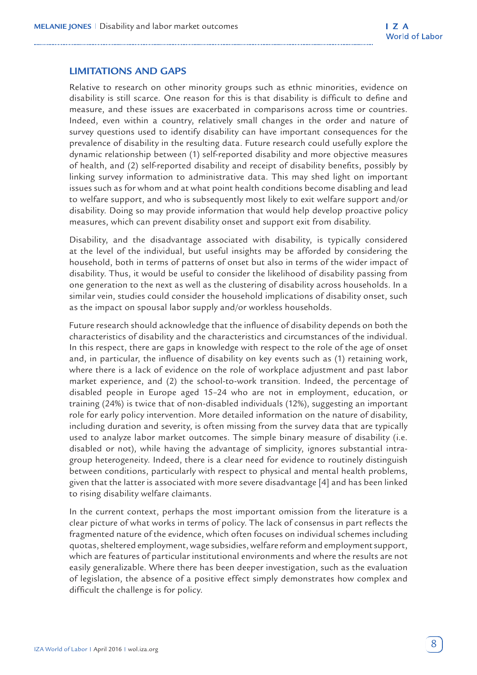### **LIMITATIONS AND GAPS**

Relative to research on other minority groups such as ethnic minorities, evidence on disability is still scarce. One reason for this is that disability is difficult to define and measure, and these issues are exacerbated in comparisons across time or countries. Indeed, even within a country, relatively small changes in the order and nature of survey questions used to identify disability can have important consequences for the prevalence of disability in the resulting data. Future research could usefully explore the dynamic relationship between (1) self-reported disability and more objective measures of health, and (2) self-reported disability and receipt of disability benefits, possibly by linking survey information to administrative data. This may shed light on important issues such as for whom and at what point health conditions become disabling and lead to welfare support, and who is subsequently most likely to exit welfare support and/or disability. Doing so may provide information that would help develop proactive policy measures, which can prevent disability onset and support exit from disability.

Disability, and the disadvantage associated with disability, is typically considered at the level of the individual, but useful insights may be afforded by considering the household, both in terms of patterns of onset but also in terms of the wider impact of disability. Thus, it would be useful to consider the likelihood of disability passing from one generation to the next as well as the clustering of disability across households. In a similar vein, studies could consider the household implications of disability onset, such as the impact on spousal labor supply and/or workless households.

Future research should acknowledge that the influence of disability depends on both the characteristics of disability and the characteristics and circumstances of the individual. In this respect, there are gaps in knowledge with respect to the role of the age of onset and, in particular, the influence of disability on key events such as (1) retaining work, where there is a lack of evidence on the role of workplace adjustment and past labor market experience, and (2) the school-to-work transition. Indeed, the percentage of disabled people in Europe aged 15–24 who are not in employment, education, or training (24%) is twice that of non-disabled individuals (12%), suggesting an important role for early policy intervention. More detailed information on the nature of disability, including duration and severity, is often missing from the survey data that are typically used to analyze labor market outcomes. The simple binary measure of disability (i.e. disabled or not), while having the advantage of simplicity, ignores substantial intragroup heterogeneity. Indeed, there is a clear need for evidence to routinely distinguish between conditions, particularly with respect to physical and mental health problems, given that the latter is associated with more severe disadvantage [4] and has been linked to rising disability welfare claimants.

In the current context, perhaps the most important omission from the literature is a clear picture of what works in terms of policy. The lack of consensus in part reflects the fragmented nature of the evidence, which often focuses on individual schemes including quotas, sheltered employment, wage subsidies, welfare reform and employment support, which are features of particular institutional environments and where the results are not easily generalizable. Where there has been deeper investigation, such as the evaluation of legislation, the absence of a positive effect simply demonstrates how complex and difficult the challenge is for policy.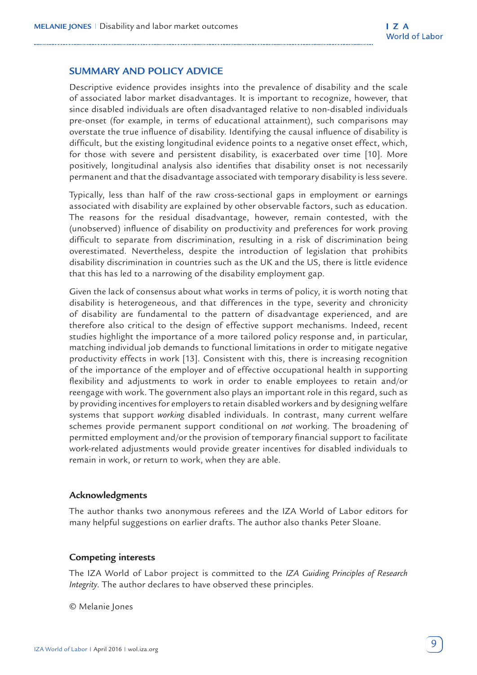### **SUMMARY AND POLICY ADVICE**

Descriptive evidence provides insights into the prevalence of disability and the scale of associated labor market disadvantages. It is important to recognize, however, that since disabled individuals are often disadvantaged relative to non-disabled individuals pre-onset (for example, in terms of educational attainment), such comparisons may overstate the true influence of disability. Identifying the causal influence of disability is difficult, but the existing longitudinal evidence points to a negative onset effect, which, for those with severe and persistent disability, is exacerbated over time [10]. More positively, longitudinal analysis also identifies that disability onset is not necessarily permanent and that the disadvantage associated with temporary disability is less severe.

Typically, less than half of the raw cross-sectional gaps in employment or earnings associated with disability are explained by other observable factors, such as education. The reasons for the residual disadvantage, however, remain contested, with the (unobserved) influence of disability on productivity and preferences for work proving difficult to separate from discrimination, resulting in a risk of discrimination being overestimated. Nevertheless, despite the introduction of legislation that prohibits disability discrimination in countries such as the UK and the US, there is little evidence that this has led to a narrowing of the disability employment gap.

Given the lack of consensus about what works in terms of policy, it is worth noting that disability is heterogeneous, and that differences in the type, severity and chronicity of disability are fundamental to the pattern of disadvantage experienced, and are therefore also critical to the design of effective support mechanisms. Indeed, recent studies highlight the importance of a more tailored policy response and, in particular, matching individual job demands to functional limitations in order to mitigate negative productivity effects in work [13]. Consistent with this, there is increasing recognition of the importance of the employer and of effective occupational health in supporting flexibility and adjustments to work in order to enable employees to retain and/or reengage with work. The government also plays an important role in this regard, such as by providing incentives for employers to retain disabled workers and by designing welfare systems that support *working* disabled individuals. In contrast, many current welfare schemes provide permanent support conditional on *not* working. The broadening of permitted employment and/or the provision of temporary financial support to facilitate work-related adjustments would provide greater incentives for disabled individuals to remain in work, or return to work, when they are able.

#### **Acknowledgments**

The author thanks two anonymous referees and the IZA World of Labor editors for many helpful suggestions on earlier drafts. The author also thanks Peter Sloane.

#### **Competing interests**

The IZA World of Labor project is committed to the *IZA Guiding Principles of Research Integrity*. The author declares to have observed these principles.

© Melanie Jones